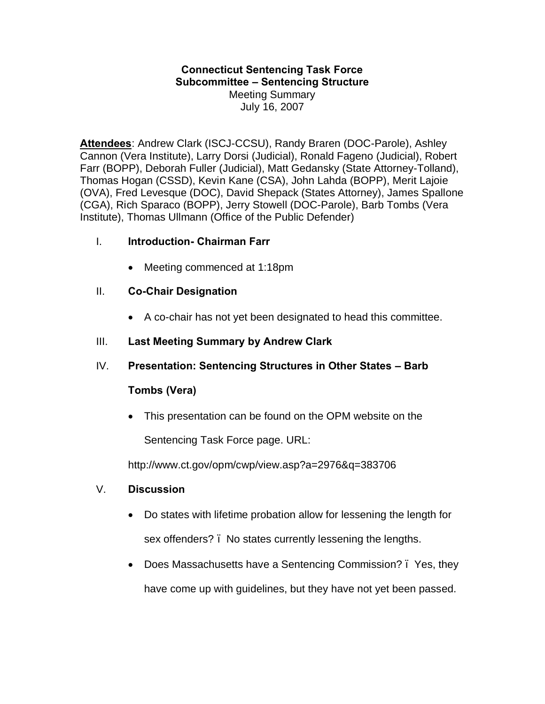### **Connecticut Sentencing Task Force Subcommittee – Sentencing Structure** Meeting Summary July 16, 2007

**Attendees**: Andrew Clark (ISCJ-CCSU), Randy Braren (DOC-Parole), Ashley Cannon (Vera Institute), Larry Dorsi (Judicial), Ronald Fageno (Judicial), Robert Farr (BOPP), Deborah Fuller (Judicial), Matt Gedansky (State Attorney-Tolland), Thomas Hogan (CSSD), Kevin Kane (CSA), John Lahda (BOPP), Merit Lajoie (OVA), Fred Levesque (DOC), David Shepack (States Attorney), James Spallone (CGA), Rich Sparaco (BOPP), Jerry Stowell (DOC-Parole), Barb Tombs (Vera Institute), Thomas Ullmann (Office of the Public Defender)

## I. **Introduction- Chairman Farr**

· Meeting commenced at 1:18pm

## II. **Co-Chair Designation**

· A co-chair has not yet been designated to head this committee.

## III. **Last Meeting Summary by Andrew Clark**

IV. **Presentation: Sentencing Structures in Other States – Barb** 

### **Tombs (Vera)**

· This presentation can be found on the OPM website on the

Sentencing Task Force page. URL:

http://www.ct.gov/opm/cwp/view.asp?a=2976&q=383706

- V. **Discussion** 
	- · Do states with lifetime probation allow for lessening the length for sex offenders? – No states currently lessening the lengths.
	- Does Massachusetts have a Sentencing Commission? . Yes, they have come up with guidelines, but they have not yet been passed.